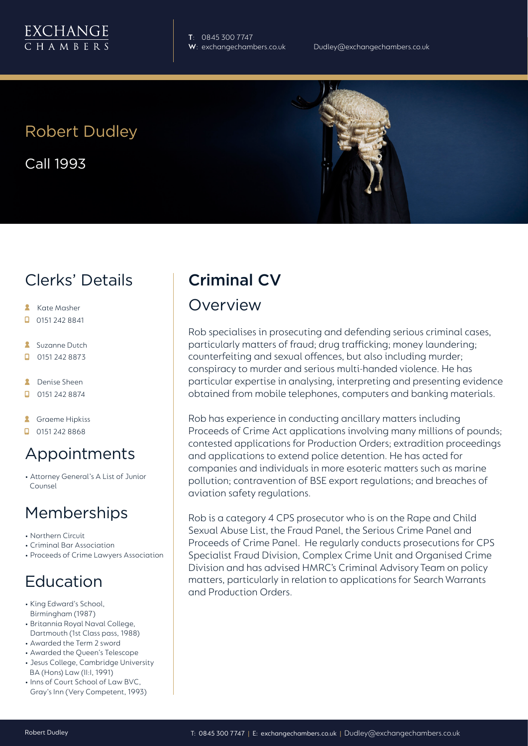

**T**: 0845 300 7747

# Robert Dudley

Call 1993

## Clerks' Details

- **Kate Masher**
- $\Box$  0151 242 8841
- **Suzanne Dutch**
- $\Box$ 0151 242 8873
- **A** Denise Sheen
- $\Box$ 0151 242 8874
- **A** Graeme Hipkiss
- $\Box$  0151 242 8868

#### Appointments

• Attorney General's A List of Junior Counsel

#### Memberships

- Northern Circuit
- Criminal Bar Association
- Proceeds of Crime Lawyers Association

## Education

- King Edward's School, Birmingham (1987)
- Britannia Royal Naval College, Dartmouth (1st Class pass, 1988)
- Awarded the Term 2 sword
- Awarded the Queen's Telescope
- Jesus College, Cambridge University BA (Hons) Law (II:I, 1991)
- Inns of Court School of Law BVC, Gray's Inn (Very Competent, 1993)

# Criminal CV

#### **Overview**

Rob specialises in prosecuting and defending serious criminal cases, particularly matters of fraud; drug trafficking; money laundering; counterfeiting and sexual offences, but also including murder; conspiracy to murder and serious multi-handed violence. He has particular expertise in analysing, interpreting and presenting evidence obtained from mobile telephones, computers and banking materials.

Rob has experience in conducting ancillary matters including Proceeds of Crime Act applications involving many millions of pounds; contested applications for Production Orders; extradition proceedings and applications to extend police detention. He has acted for companies and individuals in more esoteric matters such as marine pollution; contravention of BSE export regulations; and breaches of aviation safety regulations.

Rob is a category 4 CPS prosecutor who is on the Rape and Child Sexual Abuse List, the Fraud Panel, the Serious Crime Panel and Proceeds of Crime Panel. He regularly conducts prosecutions for CPS Specialist Fraud Division, Complex Crime Unit and Organised Crime Division and has advised HMRC's Criminal Advisory Team on policy matters, particularly in relation to applications for Search Warrants and Production Orders.